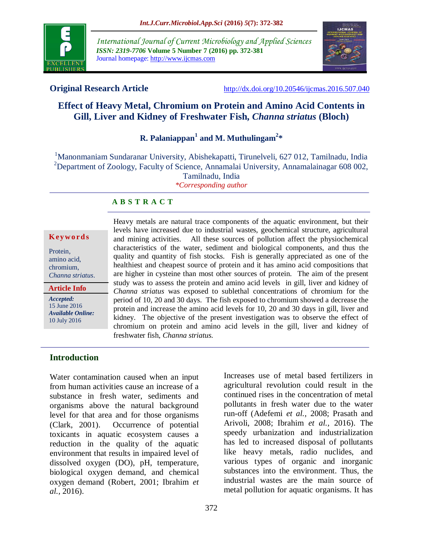

*International Journal of Current Microbiology and Applied Sciences ISSN: 2319-7706* **Volume 5 Number 7 (2016) pp. 372-381** Journal homepage: http://www.ijcmas.com



**Original Research Article** <http://dx.doi.org/10.20546/ijcmas.2016.507.040>

# **Effect of Heavy Metal, Chromium on Protein and Amino Acid Contents in Gill, Liver and Kidney of Freshwater Fish,** *Channa striatus* **(Bloch)**

**R. Palaniappan<sup>1</sup> and M. Muthulingam<sup>2</sup> \***

<sup>1</sup>Manonmaniam Sundaranar University, Abishekapatti, Tirunelveli, 627 012, Tamilnadu, India <sup>2</sup>Department of Zoology, Faculty of Science, Annamalai University, Annamalainagar 608 002, Tamilnadu, India *\*Corresponding author*

## **A B S T R A C T**

#### **K ey w o rd s**

Protein, amino acid, chromium, *Channa striatus*.

**Article Info**

*Accepted:*  15 June 2016 *Available Online:* 10 July 2016

Heavy metals are natural trace components of the aquatic environment, but their levels have increased due to industrial wastes, geochemical structure, agricultural and mining activities. All these sources of pollution affect the physiochemical characteristics of the water, sediment and biological components, and thus the quality and quantity of fish stocks. Fish is generally appreciated as one of the healthiest and cheapest source of protein and it has amino acid compositions that are higher in cysteine than most other sources of protein. The aim of the present study was to assess the protein and amino acid levels in gill, liver and kidney of *Channa striatus* was exposed to sublethal concentrations of chromium for the period of 10, 20 and 30 days. The fish exposed to chromium showed a decrease the protein and increase the amino acid levels for 10, 20 and 30 days in gill, liver and kidney. The objective of the present investigation was to observe the effect of chromium on protein and amino acid levels in the gill, liver and kidney of freshwater fish, *Channa striatus.*

## **Introduction**

Water contamination caused when an input from human activities cause an increase of a substance in fresh water, sediments and organisms above the natural background level for that area and for those organisms (Clark, 2001). Occurrence of potential toxicants in aquatic ecosystem causes a reduction in the quality of the aquatic environment that results in impaired level of dissolved oxygen (DO), pH, temperature, biological oxygen demand, and chemical oxygen demand (Robert, 2001; Ibrahim *et al.,* 2016).

Increases use of metal based fertilizers in agricultural revolution could result in the continued rises in the concentration of metal pollutants in fresh water due to the water run-off (Adefemi *et al.,* 2008; Prasath and Arivoli, 2008; Ibrahim *et al.,* 2016). The speedy urbanization and industrialization has led to increased disposal of pollutants like heavy metals, radio nuclides, and various types of organic and inorganic substances into the environment. Thus, the industrial wastes are the main source of metal pollution for aquatic organisms. It has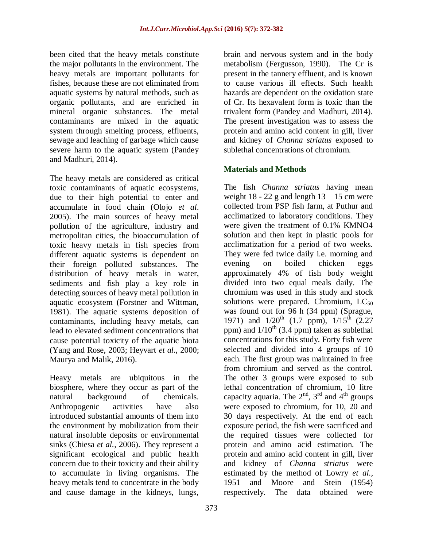been cited that the heavy metals constitute the major pollutants in the environment. The heavy metals are important pollutants for fishes, because these are not eliminated from aquatic systems by natural methods, such as organic pollutants, and are enriched in mineral organic substances. The metal contaminants are mixed in the aquatic system through smelting process, effluents, sewage and leaching of garbage which cause severe harm to the aquatic system (Pandey and Madhuri, 2014).

The heavy metals are considered as critical toxic contaminants of aquatic ecosystems, due to their high potential to enter and accumulate in food chain (Olojo *et al*. 2005). The main sources of heavy metal pollution of the agriculture, industry and metropolitan cities, the bioaccumulation of toxic heavy metals in fish species from different aquatic systems is dependent on their foreign polluted substances. The distribution of heavy metals in water, sediments and fish play a key role in detecting sources of heavy metal pollution in aquatic ecosystem (Forstner and Wittman, 1981). The aquatic systems deposition of contaminants, including heavy metals, can lead to elevated sediment concentrations that cause potential toxicity of the aquatic biota (Yang and Rose, 2003; Heyvart *et al*., 2000; Maurya and Malik, 2016).

Heavy metals are ubiquitous in the biosphere, where they occur as part of the natural background of chemicals. Anthropogenic activities have also introduced substantial amounts of them into the environment by mobilization from their natural insoluble deposits or environmental sinks (Chiesa *et al.,* 2006). They represent a significant ecological and public health concern due to their toxicity and their ability to accumulate in living organisms. The heavy metals tend to concentrate in the body and cause damage in the kidneys, lungs,

brain and nervous system and in the body metabolism (Fergusson, 1990). The Cr is present in the tannery effluent, and is known to cause various ill effects. Such health hazards are dependent on the oxidation state of Cr. Its hexavalent form is toxic than the trivalent form (Pandey and Madhuri, 2014). The present investigation was to assess the protein and amino acid content in gill, liver and kidney of *Channa striatus* exposed to sublethal concentrations of chromium.

## **Materials and Methods**

The fish *Channa striatus* having mean weight  $18 - 22$  g and length  $13 - 15$  cm were collected from PSP fish farm, at Puthur and acclimatized to laboratory conditions. They were given the treatment of 0.1% KMNO4 solution and then kept in plastic pools for acclimatization for a period of two weeks. They were fed twice daily i.e. morning and evening on boiled chicken eggs approximately 4% of fish body weight divided into two equal meals daily. The chromium was used in this study and stock solutions were prepared. Chromium,  $LC_{50}$ was found out for 96 h (34 ppm) (Sprague, 1971) and  $1/20^{th}$  (1.7 ppm),  $1/15^{th}$  (2.27 ppm) and  $1/10^{th}$  (3.4 ppm) taken as sublethal concentrations for this study. Forty fish were selected and divided into 4 groups of 10 each. The first group was maintained in free from chromium and served as the control. The other 3 groups were exposed to sub lethal concentration of chromium, 10 litre capacity aquaria. The  $2<sup>nd</sup>$ ,  $3<sup>rd</sup>$  and  $4<sup>th</sup>$  groups were exposed to chromium, for 10, 20 and 30 days respectively. At the end of each exposure period, the fish were sacrificed and the required tissues were collected for protein and amino acid estimation. The protein and amino acid content in gill, liver and kidney of *Channa striatus* were estimated by the method of Lowry *et al.,* 1951 and Moore and Stein (1954) respectively. The data obtained were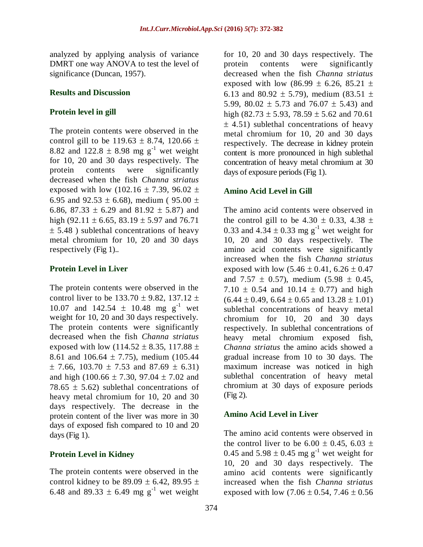analyzed by applying analysis of variance DMRT one way ANOVA to test the level of significance (Duncan, 1957).

#### **Results and Discussion**

#### **Protein level in gill**

The protein contents were observed in the control gill to be 119.63  $\pm$  8.74, 120.66  $\pm$ 8.82 and 122.8  $\pm$  8.98 mg g<sup>-1</sup> wet weight for 10, 20 and 30 days respectively. The protein contents were significantly decreased when the fish *Channa striatus* exposed with low (102.16  $\pm$  7.39, 96.02  $\pm$ 6.95 and 92.53  $\pm$  6.68), medium (95.00  $\pm$ 6.86, 87.33  $\pm$  6.29 and 81.92  $\pm$  5.87) and high (92.11  $\pm$  6.65, 83.19  $\pm$  5.97 and 76.71  $\pm$  5.48 ) sublethal concentrations of heavy metal chromium for 10, 20 and 30 days respectively (Fig 1)..

#### **Protein Level in Liver**

The protein contents were observed in the control liver to be  $133.70 \pm 9.82$ ,  $137.12 \pm 1.5$ 10.07 and 142.54  $\pm$  10.48 mg g<sup>-1</sup> wet weight for 10, 20 and 30 days respectively. The protein contents were significantly decreased when the fish *Channa striatus* exposed with low (114.52  $\pm$  8.35, 117.88  $\pm$ 8.61 and  $106.64 \pm 7.75$ ), medium (105.44)  $\pm$  7.66, 103.70  $\pm$  7.53 and 87.69  $\pm$  6.31) and high (100.66  $\pm$  7.30, 97.04  $\pm$  7.02 and 78.65  $\pm$  5.62) sublethal concentrations of heavy metal chromium for 10, 20 and 30 days respectively. The decrease in the protein content of the liver was more in 30 days of exposed fish compared to 10 and 20 days (Fig 1).

## **Protein Level in Kidney**

The protein contents were observed in the control kidney to be  $89.09 \pm 6.42$ ,  $89.95 \pm$ 6.48 and 89.33  $\pm$  6.49 mg g<sup>-1</sup> wet weight for 10, 20 and 30 days respectively. The protein contents were significantly decreased when the fish *Channa striatus* exposed with low (86.99  $\pm$  6.26, 85.21  $\pm$ 6.13 and 80.92  $\pm$  5.79), medium (83.51  $\pm$ 5.99, 80.02  $\pm$  5.73 and 76.07  $\pm$  5.43) and high (82.73  $\pm$  5.93, 78.59  $\pm$  5.62 and 70.61  $\pm$  4.51) sublethal concentrations of heavy metal chromium for 10, 20 and 30 days respectively. The decrease in kidney protein content is more pronounced in high sublethal concentration of heavy metal chromium at 30 days of exposure periods (Fig 1).

#### **Amino Acid Level in Gill**

The amino acid contents were observed in the control gill to be  $4.30 \pm 0.33$ ,  $4.38 \pm 0.33$ 0.33 and  $4.34 \pm 0.33$  mg g<sup>-1</sup> wet weight for 10, 20 and 30 days respectively. The amino acid contents were significantly increased when the fish *Channa striatus* exposed with low  $(5.46 \pm 0.41, 6.26 \pm 0.47)$ and 7.57  $\pm$  0.57), medium (5.98  $\pm$  0.45, 7.10  $\pm$  0.54 and 10.14  $\pm$  0.77) and high  $(6.44 \pm 0.49, 6.64 \pm 0.65 \text{ and } 13.28 \pm 1.01)$ sublethal concentrations of heavy metal chromium for 10, 20 and 30 days respectively. In sublethal concentrations of heavy metal chromium exposed fish, *Channa striatus* the amino acids showed a gradual increase from 10 to 30 days. The maximum increase was noticed in high sublethal concentration of heavy metal chromium at 30 days of exposure periods (Fig 2).

## **Amino Acid Level in Liver**

The amino acid contents were observed in the control liver to be  $6.00 \pm 0.45$ ,  $6.03 \pm 0.45$ 0.45 and  $5.98 \pm 0.45$  mg g<sup>-1</sup> wet weight for 10, 20 and 30 days respectively. The amino acid contents were significantly increased when the fish *Channa striatus* exposed with low  $(7.06 \pm 0.54, 7.46 \pm 0.56)$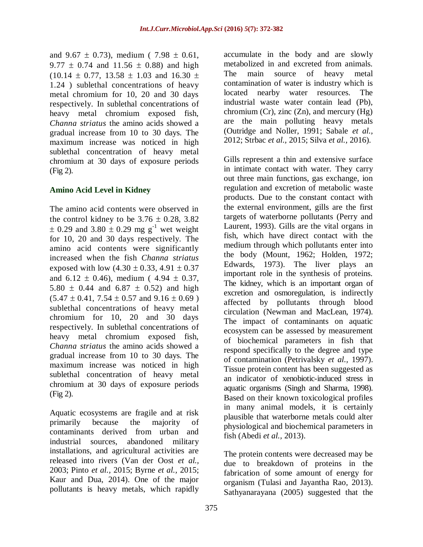and 9.67  $\pm$  0.73), medium (7.98  $\pm$  0.61, 9.77  $\pm$  0.74 and 11.56  $\pm$  0.88) and high  $(10.14 \pm 0.77, 13.58 \pm 1.03$  and 16.30  $\pm$ 1.24 ) sublethal concentrations of heavy metal chromium for 10, 20 and 30 days respectively. In sublethal concentrations of heavy metal chromium exposed fish, *Channa striatus* the amino acids showed a gradual increase from 10 to 30 days. The maximum increase was noticed in high sublethal concentration of heavy metal chromium at 30 days of exposure periods (Fig 2).

## **Amino Acid Level in Kidney**

The amino acid contents were observed in the control kidney to be  $3.76 \pm 0.28$ ,  $3.82$  $\pm$  0.29 and 3.80  $\pm$  0.29 mg g<sup>-1</sup> wet weight for 10, 20 and 30 days respectively. The amino acid contents were significantly increased when the fish *Channa striatus* exposed with low  $(4.30 \pm 0.33, 4.91 \pm 0.37)$ and  $6.12 \pm 0.46$ , medium ( $4.94 \pm 0.37$ ,  $5.80 \pm 0.44$  and  $6.87 \pm 0.52$ ) and high  $(5.47 \pm 0.41, 7.54 \pm 0.57, 0.41 \pm 0.69)$ sublethal concentrations of heavy metal chromium for 10, 20 and 30 days respectively. In sublethal concentrations of heavy metal chromium exposed fish, *Channa striatus* the amino acids showed a gradual increase from 10 to 30 days. The maximum increase was noticed in high sublethal concentration of heavy metal chromium at 30 days of exposure periods (Fig 2).

Aquatic ecosystems are fragile and at risk primarily because the majority of contaminants derived from urban and industrial sources, abandoned military installations, and agricultural activities are released into rivers (Van der Oost *et al.,* 2003; Pinto *et al.,* 2015; Byrne *et al.,* 2015; Kaur and Dua, 2014). One of the major pollutants is heavy metals, which rapidly

accumulate in the body and are slowly metabolized in and excreted from animals. The main source of heavy metal contamination of water is industry which is located nearby water resources. The industrial waste water contain lead (Pb), chromium (Cr), zinc  $(Zn)$ , and mercury (Hg) are the main polluting heavy metals (Outridge and Noller, 1991; Sabale *et al.,* 2012; Strbac *et al.,* 2015; Silva *et al.,* 2016).

Gills represent a thin and extensive surface in intimate contact with water. They carry out three main functions, gas exchange, ion regulation and excretion of metabolic waste products. Due to the constant contact with the external environment, gills are the first targets of waterborne pollutants (Perry and Laurent, 1993). Gills are the vital organs in fish, which have direct contact with the medium through which pollutants enter into the body (Mount, 1962; Holden, 1972; Edwards, 1973). The liver plays an important role in the synthesis of proteins. The kidney, which is an important organ of excretion and osmoregulation, is indirectly affected by pollutants through blood circulation (Newman and MacLean, 1974). The impact of contaminants on aquatic ecosystem can be assessed by measurement of biochemical parameters in fish that respond specifically to the degree and type of contamination (Petrivalsky *et al.,* 1997). Tissue protein content has been suggested as an indicator of xenobiotic-induced stress in aquatic organisms (Singh and Sharma, 1998). Based on their known toxicological profiles in many animal models, it is certainly plausible that waterborne metals could alter physiological and biochemical parameters in fish (Abedi *et al.,* 2013).

The protein contents were decreased may be due to breakdown of proteins in the fabrication of some amount of energy for organism (Tulasi and Jayantha Rao, 2013). Sathyanarayana (2005) suggested that the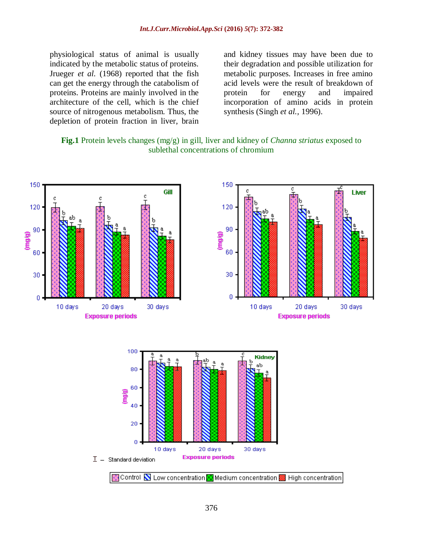physiological status of animal is usually indicated by the metabolic status of proteins. Jrueger *et al.* (1968) reported that the fish can get the energy through the catabolism of proteins. Proteins are mainly involved in the architecture of the cell, which is the chief source of nitrogenous metabolism. Thus, the depletion of protein fraction in liver, brain and kidney tissues may have been due to their degradation and possible utilization for metabolic purposes. Increases in free amino acid levels were the result of breakdown of protein for energy and impaired incorporation of amino acids in protein synthesis (Singh *et al.,* 1996).

**Fig.1** Protein levels changes (mg/g) in gill, liver and kidney of *Channa striatus* exposed to sublethal concentrations of chromium

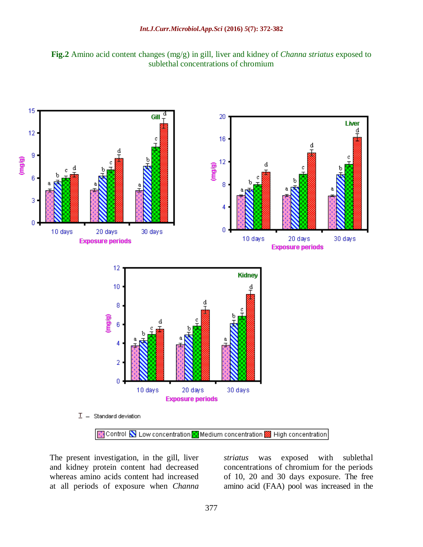



The present investigation, in the gill, liver and kidney protein content had decreased whereas amino acids content had increased at all periods of exposure when *Channa*  *striatus* was exposed with sublethal concentrations of chromium for the periods of 10, 20 and 30 days exposure. The free amino acid (FAA) pool was increased in the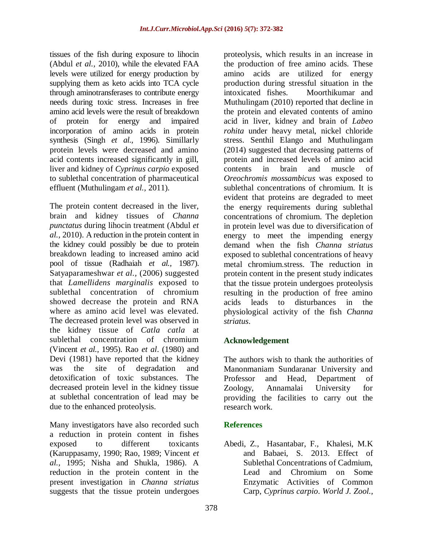tissues of the fish during exposure to lihocin (Abdul *et al.,* 2010), while the elevated FAA levels were utilized for energy production by supplying them as keto acids into TCA cycle through aminotransferases to contribute energy needs during toxic stress. Increases in free amino acid levels were the result of breakdown of protein for energy and impaired incorporation of amino acids in protein synthesis (Singh *et al.,* 1996). Simillarly protein levels were decreased and amino acid contents increased significantly in gill, liver and kidney of *Cyprinus carpio* exposed to sublethal concentration of pharmaceutical effluent (Muthulingam *et al.,* 2011).

The protein content decreased in the liver, brain and kidney tissues of *Channa punctatus* during lihocin treatment (Abdul *et al.,* 2010). A reduction in the protein content in the kidney could possibly be due to protein breakdown leading to increased amino acid pool of tissue (Radhaiah *et al.,* 1987). Satyaparameshwar *et al.,* (2006) suggested that *Lamellidens marginalis* exposed to sublethal concentration of chromium showed decrease the protein and RNA where as amino acid level was elevated. The decreased protein level was observed in the kidney tissue of *Catla catla* at sublethal concentration of chromium (Vincent *et al.,* 1995). Rao *et al*. (1980) and Devi (1981) have reported that the kidney was the site of degradation and detoxification of toxic substances. The decreased protein level in the kidney tissue at sublethal concentration of lead may be due to the enhanced proteolysis.

Many investigators have also recorded such a reduction in protein content in fishes exposed to different toxicants (Karuppasamy, 1990; Rao, 1989; Vincent *et al.,* 1995; Nisha and Shukla, 1986). A reduction in the protein content in the present investigation in *Channa striatus* suggests that the tissue protein undergoes

proteolysis, which results in an increase in the production of free amino acids. These amino acids are utilized for energy production during stressful situation in the intoxicated fishes.Moorthikumar and Muthulingam (2010) reported that decline in the protein and elevated contents of amino acid in liver, kidney and brain of *Labeo rohita* under heavy metal, nickel chloride stress. Senthil Elango and Muthulingam (2014) suggested that decreasing patterns of protein and increased levels of amino acid contents in brain and muscle of *Oreochromis mossambicus* was exposed to sublethal concentrations of chromium. It is evident that proteins are degraded to meet the energy requirements during sublethal concentrations of chromium. The depletion in protein level was due to diversification of energy to meet the impending energy demand when the fish *Channa striatus* exposed to sublethal concentrations of heavy metal chromium.stress. The reduction in protein content in the present study indicates that the tissue protein undergoes proteolysis resulting in the production of free amino acids leads to disturbances in the physiological activity of the fish *Channa striatus*.

## **Acknowledgement**

The authors wish to thank the authorities of Manonmaniam Sundaranar University and Professor and Head, Department of Zoology, Annamalai University for providing the facilities to carry out the research work.

## **References**

Abedi, Z., Hasantabar, F., Khalesi, M.K and Babaei, S. 2013. Effect of Sublethal Concentrations of Cadmium, Lead and Chromium on Some Enzymatic Activities of Common Carp, *Cyprinus carpio*. *World J. Zool.,*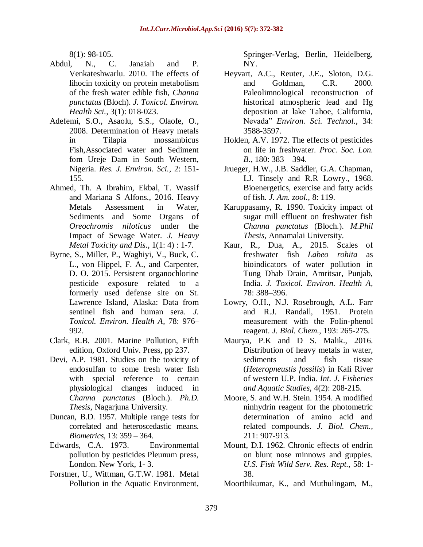8(1): 98-105.

- Abdul, N., C. Janaiah and P. Venkateshwarlu. 2010. The effects of lihocin toxicity on protein metabolism of the fresh water edible fish, *Channa punctatus* (Bloch). *J. Toxicol. Environ. Health Sci.,* 3(1): 018-023.
- Adefemi, S.O., Asaolu, S.S., Olaofe, O., 2008. Determination of Heavy metals in Tilapia mossambicus Fish,Associated water and Sediment fom Ureje Dam in South Western, Nigeria. *Res. J. Environ. Sci.,* 2: 151- 155.
- Ahmed, Th. A Ibrahim, Ekbal, T. Wassif and Mariana S Alfons., 2016. Heavy Metals Assessment in Water, Sediments and Some Organs of *Oreochromis niloticus* under the Impact of Sewage Water. *J. Heavy Metal Toxicity and Dis.,* 1(1: 4) : 1-7.
- Byrne, S., Miller, P., Waghiyi, V., Buck, C. L., von Hippel, F. A., and Carpenter, D. O. 2015. Persistent organochlorine pesticide exposure related to a formerly used defense site on St. Lawrence Island, Alaska: Data from sentinel fish and human sera. *J. Toxicol. Environ. Health A,* 78: 976– 992.
- Clark, R.B. 2001. Marine Pollution, Fifth edition, Oxford Univ. Press, pp 237.
- Devi, A.P. 1981. Studies on the toxicity of endosulfan to some fresh water fish with special reference to certain physiological changes induced in *Channa punctatus* (Bloch.). *Ph.D. Thesis,* Nagarjuna University.
- Duncan, B.D. 1957. Multiple range tests for correlated and heteroscedastic means. *Biometrics,* 13: 359 – 364.
- Edwards, C.A. 1973. Environmental pollution by pesticides Pleunum press, London. New York, 1- 3.
- Forstner, U., Wittman, G.T.W. 1981. Metal Pollution in the Aquatic Environment,

Springer-Verlag, Berlin, Heidelberg, NY.

- Heyvart, A.C., Reuter, J.E., Sloton, D.G. and Goldman, C.R. 2000. Paleolimnological reconstruction of historical atmospheric lead and Hg deposition at lake Tahoe, California, Nevada" *Environ. Sci. Technol.,* 34: 3588-3597.
- Holden, A.V. 1972. The effects of pesticides on life in freshwater. *Proc. Soc. Lon. B.*, 180: 383 – 394.
- Jrueger, H.W., J.B. Saddler, G.A. Chapman, I.J. Tinsely and R.R Lowry., 1968. Bioenergetics, exercise and fatty acids of fish. *J. Am. zool.,* 8: 119.
- Karuppasamy, R. 1990. Toxicity impact of sugar mill effluent on freshwater fish *Channa punctatus* (Bloch.). *M.Phil Thesis,* Annamalai University.
- Kaur, R., Dua, A., 2015. Scales of freshwater fish *Labeo rohita* as bioindicators of water pollution in Tung Dhab Drain, Amritsar, Punjab, India. *J. Toxicol. Environ. Health A,* 78: 388–396.
- Lowry, O.H., N.J. Rosebrough, A.L. Farr and R.J. Randall, 1951. Protein measurement with the Folin-phenol reagent. *J. Biol. Chem.,* 193: 265-275.
- Maurya, P.K and D S. Malik., 2016. Distribution of heavy metals in water, sediments and fish tissue (*Heteropneustis fossilis*) in Kali River of western U.P. India. *Int. J. Fisheries and Aquatic Studies,* 4(2): 208-215.
- Moore, S. and W.H. Stein. 1954. A modified ninhydrin reagent for the photometric determination of amino acid and related compounds. *J. Biol. Chem.,*  211: 907-913.
- Mount, D.I. 1962. Chronic effects of endrin on blunt nose minnows and guppies. *U.S. Fish Wild Serv. Res. Rept.,* 58: 1- 38.
- Moorthikumar, K., and Muthulingam, M.,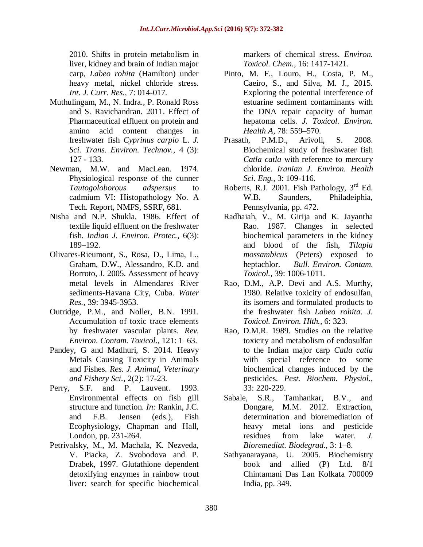2010. Shifts in protein metabolism in liver, kidney and brain of Indian major carp, *Labeo rohita* (Hamilton) under heavy metal, nickel chloride stress. *Int. J. Curr. Res.,* 7: 014-017.

- Muthulingam, M., N. Indra., P. Ronald Ross and S. Ravichandran. 2011. Effect of Pharmaceutical effluent on protein and amino acid content changes in freshwater fish *Cyprinus carpio* L*. J. Sci. Trans. Environ. Technov.,* 4 (3): 127 - 133.
- Newman, M.W. and MacLean. 1974. Physiological response of the cunner *Tautogoloborous adspersus* to cadmium VI: Histopathology No. A Tech. Report, NMFS, SSRF, 681.
- Nisha and N.P. Shukla. 1986. Effect of textile liquid effluent on the freshwater fish. *Indian J. Environ. Protec.,* 6(3): 189–192.
- Olivares-Rieumont, S., Rosa, D., Lima, L., Graham, D.W., Alessandro, K.D. and Borroto, J. 2005. Assessment of heavy metal levels in Almendares River sediments-Havana City, Cuba. *Water Res.,* 39: 3945-3953.
- Outridge, P.M., and Noller, B.N. 1991. Accumulation of toxic trace elements by freshwater vascular plants. *Rev. Environ. Contam. Toxicol*., 121: 1–63.
- Pandey, G and Madhuri, S. 2014. Heavy Metals Causing Toxicity in Animals and Fishes. *Res. J. Animal, Veterinary and Fishery Sci.,* 2(2): 17-23.
- Perry, S.F. and P. Lauvent. 1993. Environmental effects on fish gill structure and function. *In:* Rankin, J.C. and F.B. Jensen (eds.), Fish Ecophysiology, Chapman and Hall, London, pp. 231-264.
- Petrivalsky, M., M. Machala, K. Nezveda, V. Piacka, Z. Svobodova and P. Drabek, 1997. Glutathione dependent detoxifying enzymes in rainbow trout liver: search for specific biochemical

markers of chemical stress. *Environ. Toxicol. Chem.,* 16: 1417-1421.

- Pinto, M. F., Louro, H., Costa, P. M., Caeiro, S., and Silva, M. J., 2015. Exploring the potential interference of estuarine sediment contaminants with the DNA repair capacity of human hepatoma cells. *J. Toxicol. Environ. Health A,* 78: 559–570.
- Prasath, P.M.D., Arivoli, S. 2008. Biochemical study of freshwater fish *Catla catla* with reference to mercury chloride. *Iranian J. Environ. Health Sci. Eng.,* 3: 109-116.
- Roberts, R.J. 2001. Fish Pathology,  $3<sup>rd</sup>$  Ed. W.B. Saunders, Philadeiphia, Pennsylvania, pp. 472.
- Radhaiah, V., M. Girija and K. Jayantha Rao. 1987. Changes in selected biochemical parameters in the kidney and blood of the fish, *Tilapia mossambicus* (Peters) exposed to heptachlor. *Bull. Environ. Contam. Toxicol.,* 39: 1006-1011.
- Rao, D.M., A.P. Devi and A.S. Murthy, 1980. Relative toxicity of endosulfan, its isomers and formulated products to the freshwater fish *Labeo rohita*. *J. Toxicol. Environ. Hlth.,* 6: 323.
- Rao, D.M.R. 1989. Studies on the relative toxicity and metabolism of endosulfan to the Indian major carp *Catla catla* with special reference to some biochemical changes induced by the pesticides. *Pest. Biochem. Physiol.,*  33: 220-229.
- Sabale, S.R., Tamhankar, B.V., and Dongare, M.M. 2012. Extraction, determination and bioremediation of heavy metal ions and pesticide residues from lake water. *J. Bioremediat. Biodegrad.,* 3: 1–8.
- Sathyanarayana, U. 2005. Biochemistry book and allied (P) Ltd. 8/1 Chintamani Das Lan Kolkata 700009 India, pp. 349.